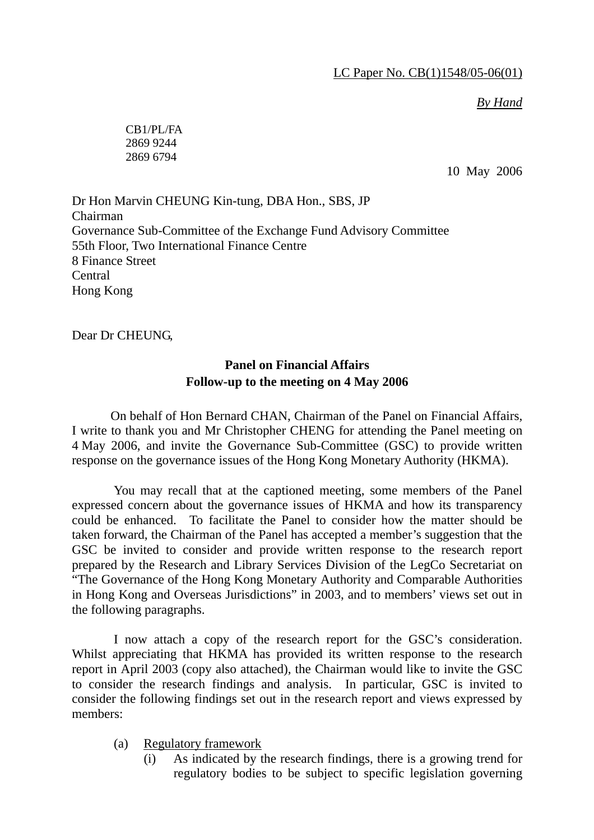## *By Hand*

CB1/PL/FA 2869 9244 2869 6794

10 May 2006

Dr Hon Marvin CHEUNG Kin-tung, DBA Hon., SBS, JP Chairman Governance Sub-Committee of the Exchange Fund Advisory Committee 55th Floor, Two International Finance Centre 8 Finance Street Central Hong Kong

Dear Dr CHEUNG,

## **Panel on Financial Affairs Follow-up to the meeting on 4 May 2006**

 On behalf of Hon Bernard CHAN, Chairman of the Panel on Financial Affairs, I write to thank you and Mr Christopher CHENG for attending the Panel meeting on 4 May 2006, and invite the Governance Sub-Committee (GSC) to provide written response on the governance issues of the Hong Kong Monetary Authority (HKMA).

 You may recall that at the captioned meeting, some members of the Panel expressed concern about the governance issues of HKMA and how its transparency could be enhanced. To facilitate the Panel to consider how the matter should be taken forward, the Chairman of the Panel has accepted a member's suggestion that the GSC be invited to consider and provide written response to the research report prepared by the Research and Library Services Division of the LegCo Secretariat on "The Governance of the Hong Kong Monetary Authority and Comparable Authorities in Hong Kong and Overseas Jurisdictions" in 2003, and to members' views set out in the following paragraphs.

 I now attach a copy of the research report for the GSC's consideration. Whilst appreciating that HKMA has provided its written response to the research report in April 2003 (copy also attached), the Chairman would like to invite the GSC to consider the research findings and analysis. In particular, GSC is invited to consider the following findings set out in the research report and views expressed by members:

- (a) Regulatory framework
	- (i) As indicated by the research findings, there is a growing trend for regulatory bodies to be subject to specific legislation governing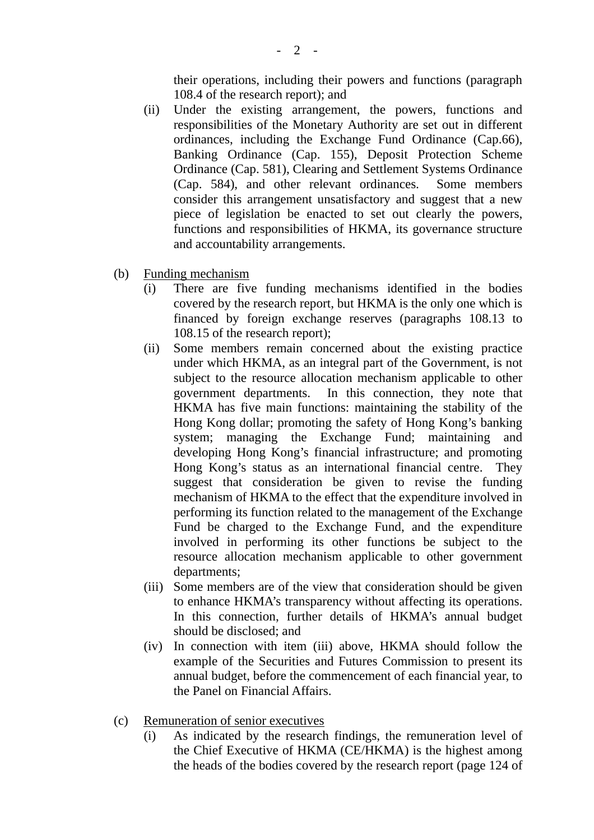their operations, including their powers and functions (paragraph 108.4 of the research report); and

- (ii) Under the existing arrangement, the powers, functions and responsibilities of the Monetary Authority are set out in different ordinances, including the Exchange Fund Ordinance (Cap.66), Banking Ordinance (Cap. 155), Deposit Protection Scheme Ordinance (Cap. 581), Clearing and Settlement Systems Ordinance (Cap. 584), and other relevant ordinances. Some members consider this arrangement unsatisfactory and suggest that a new piece of legislation be enacted to set out clearly the powers, functions and responsibilities of HKMA, its governance structure and accountability arrangements.
- (b) Funding mechanism
	- (i) There are five funding mechanisms identified in the bodies covered by the research report, but HKMA is the only one which is financed by foreign exchange reserves (paragraphs 108.13 to 108.15 of the research report);
	- (ii) Some members remain concerned about the existing practice under which HKMA, as an integral part of the Government, is not subject to the resource allocation mechanism applicable to other government departments. In this connection, they note that HKMA has five main functions: maintaining the stability of the Hong Kong dollar; promoting the safety of Hong Kong's banking system; managing the Exchange Fund; maintaining and developing Hong Kong's financial infrastructure; and promoting Hong Kong's status as an international financial centre. They suggest that consideration be given to revise the funding mechanism of HKMA to the effect that the expenditure involved in performing its function related to the management of the Exchange Fund be charged to the Exchange Fund, and the expenditure involved in performing its other functions be subject to the resource allocation mechanism applicable to other government departments;
	- (iii) Some members are of the view that consideration should be given to enhance HKMA's transparency without affecting its operations. In this connection, further details of HKMA's annual budget should be disclosed; and
	- (iv) In connection with item (iii) above, HKMA should follow the example of the Securities and Futures Commission to present its annual budget, before the commencement of each financial year, to the Panel on Financial Affairs.
- (c) Remuneration of senior executives
	- (i) As indicated by the research findings, the remuneration level of the Chief Executive of HKMA (CE/HKMA) is the highest among the heads of the bodies covered by the research report (page 124 of